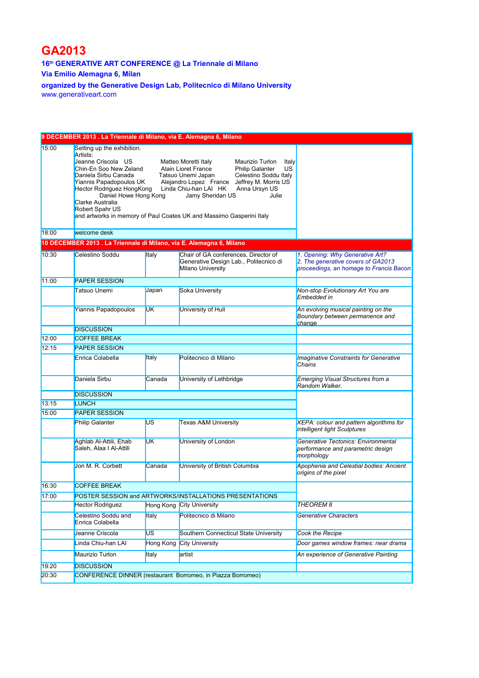## **GA2013**

**16th GENERATIVE ART CONFERENCE @ La Triennale di Milano**

**Via Emilio Alemagna 6, Milan**

**organized by the Generative Design Lab, Politecnico di Milano University** [www.generativeart.com](http://www.generativeart.com/)

| 9 DECEMBER 2013 . La Triennale di Milano, via E. Alemagna 6, Milano |                                                                                                                                                                                                                                                                                                                |                                                                                                                                           |                                                                                                     |                                                                                                                  |  |  |  |  |
|---------------------------------------------------------------------|----------------------------------------------------------------------------------------------------------------------------------------------------------------------------------------------------------------------------------------------------------------------------------------------------------------|-------------------------------------------------------------------------------------------------------------------------------------------|-----------------------------------------------------------------------------------------------------|------------------------------------------------------------------------------------------------------------------|--|--|--|--|
| 15:00                                                               | Setting up the exhibition.<br>Artists:<br>Jeanne Criscola US<br>Chin-En Soo New Zeland<br>Daniela Sirbu Canada<br>Yiannis Papadopoulos UK<br>Hector Rodriguez HongKong<br>Daniel Howe Hong Kong<br>Clarke Australia<br>Robert Spahr US<br>and artworks in memory of Paul Coates UK and Massimo Gasperini Italy | Matteo Moretti Italy<br>Alain Lioret France<br>Tatsuo Unemi Japan<br>Alejandro Lopez France Jeffrey M. Morris US<br>Linda Chiu-han LAI HK | Italy<br><b>US</b><br>Celestino Soddu Italy                                                         |                                                                                                                  |  |  |  |  |
| 18:00                                                               | welcome desk                                                                                                                                                                                                                                                                                                   |                                                                                                                                           |                                                                                                     |                                                                                                                  |  |  |  |  |
|                                                                     | 10 DECEMBER 2013 . La Triennale di Milano, via E. Alemagna 6, Milano                                                                                                                                                                                                                                           |                                                                                                                                           |                                                                                                     |                                                                                                                  |  |  |  |  |
| 10:30                                                               | Celestino Soddu                                                                                                                                                                                                                                                                                                | Italy                                                                                                                                     | Chair of GA conferences, Director of<br>Generative Design Lab., Politecnico di<br>Milano University | 1. Opening: Why Generative Art?<br>2. The generative covers of GA2013<br>proceedings, an homage to Francis Bacon |  |  |  |  |
| 11:00                                                               | <b>PAPER SESSION</b>                                                                                                                                                                                                                                                                                           |                                                                                                                                           |                                                                                                     |                                                                                                                  |  |  |  |  |
|                                                                     | <b>Tatsuo Unemi</b>                                                                                                                                                                                                                                                                                            | Japan                                                                                                                                     | Soka University                                                                                     | Non-stop Evolutionary Art You are<br>Embedded in                                                                 |  |  |  |  |
|                                                                     | Yiannis Papadopoulos                                                                                                                                                                                                                                                                                           | <b>UK</b>                                                                                                                                 | University of Hull                                                                                  | An evolving musical painting on the<br>Boundary between permanence and<br><i>change</i>                          |  |  |  |  |
|                                                                     | <b>DISCUSSION</b>                                                                                                                                                                                                                                                                                              |                                                                                                                                           |                                                                                                     |                                                                                                                  |  |  |  |  |
| 12:00                                                               | <b>COFFEE BREAK</b>                                                                                                                                                                                                                                                                                            |                                                                                                                                           |                                                                                                     |                                                                                                                  |  |  |  |  |
| 12:15                                                               | <b>PAPER SESSION</b>                                                                                                                                                                                                                                                                                           |                                                                                                                                           |                                                                                                     |                                                                                                                  |  |  |  |  |
|                                                                     | Enrica Colabella                                                                                                                                                                                                                                                                                               | Italy                                                                                                                                     | Politecnico di Milano                                                                               | <b>Imaginative Constraints for Generative</b><br>Chains                                                          |  |  |  |  |
|                                                                     | Daniela Sirbu                                                                                                                                                                                                                                                                                                  | Canada                                                                                                                                    | University of Lethbridge                                                                            | Emerging Visual Structures from a<br>Random Walker.                                                              |  |  |  |  |
|                                                                     | <b>DISCUSSION</b>                                                                                                                                                                                                                                                                                              |                                                                                                                                           |                                                                                                     |                                                                                                                  |  |  |  |  |
| 13:15                                                               | <b>LUNCH</b>                                                                                                                                                                                                                                                                                                   |                                                                                                                                           |                                                                                                     |                                                                                                                  |  |  |  |  |
| 15:00                                                               | <b>PAPER SESSION</b>                                                                                                                                                                                                                                                                                           |                                                                                                                                           |                                                                                                     |                                                                                                                  |  |  |  |  |
|                                                                     | Philip Galanter                                                                                                                                                                                                                                                                                                | US                                                                                                                                        | <b>Texas A&amp;M University</b>                                                                     | XEPA: colour and pattern algorithms for<br>intelligent light Sculptures                                          |  |  |  |  |
|                                                                     | Aghlab Al-Attili, Ehab<br>Saleh, Alaa I Al-Attili                                                                                                                                                                                                                                                              | <b>UK</b>                                                                                                                                 | University of London                                                                                | Generative Tectonics: Environmental<br>performance and parametric design<br>morphology                           |  |  |  |  |
|                                                                     | Jon M. R. Corbett                                                                                                                                                                                                                                                                                              | Canada                                                                                                                                    | University of British Columbia                                                                      | Apophenia and Celestial bodies: Ancient<br>origins of the pixel                                                  |  |  |  |  |
| 16:30                                                               | <b>COFFEE BREAK</b>                                                                                                                                                                                                                                                                                            |                                                                                                                                           |                                                                                                     |                                                                                                                  |  |  |  |  |
| 17:00                                                               | POSTER SESSION and ARTWORKS/INSTALLATIONS PRESENTATIONS                                                                                                                                                                                                                                                        |                                                                                                                                           |                                                                                                     |                                                                                                                  |  |  |  |  |
|                                                                     | <b>Hector Rodriguez</b>                                                                                                                                                                                                                                                                                        |                                                                                                                                           | Hong Kong City University                                                                           | <b>THEOREM8</b>                                                                                                  |  |  |  |  |
|                                                                     | Celestino Soddu and<br>Enrica Colabella                                                                                                                                                                                                                                                                        | Italy                                                                                                                                     | Politecnico di Milano                                                                               | Generative Characters                                                                                            |  |  |  |  |
|                                                                     | Jeanne Criscola                                                                                                                                                                                                                                                                                                | US.                                                                                                                                       | Southern Connecticut State University                                                               | Cook the Recipe                                                                                                  |  |  |  |  |
|                                                                     | Linda Chiu-han LAI                                                                                                                                                                                                                                                                                             | <b>Hong Kong</b>                                                                                                                          | <b>City University</b>                                                                              | Door games window frames: near drama                                                                             |  |  |  |  |
|                                                                     | Maurizio Turlon                                                                                                                                                                                                                                                                                                | Italy                                                                                                                                     | artist                                                                                              | An experience of Generative Painting                                                                             |  |  |  |  |
| 19:20                                                               | <b>DISCUSSION</b>                                                                                                                                                                                                                                                                                              |                                                                                                                                           |                                                                                                     |                                                                                                                  |  |  |  |  |
| 20:30                                                               | CONFERENCE DINNER (restaurant Borromeo, in Piazza Borromeo)                                                                                                                                                                                                                                                    |                                                                                                                                           |                                                                                                     |                                                                                                                  |  |  |  |  |